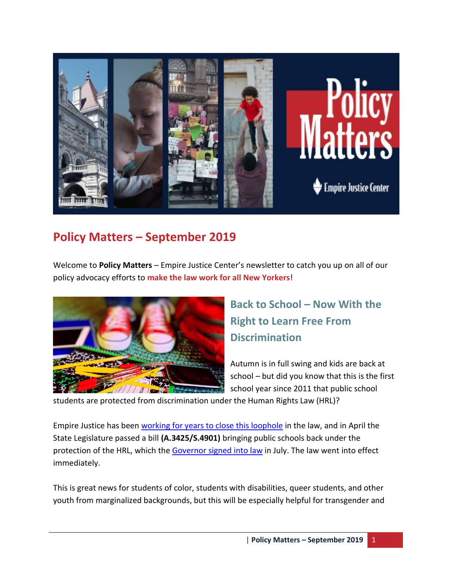

# **Policy Matters – September 2019**

Welcome to **Policy Matters** – Empire Justice Center's newsletter to catch you up on all of our policy advocacy efforts to **make the law work for all New Yorkers**!



# **Back to School – Now With the Right to Learn Free From Discrimination**

Autumn is in full swing and kids are back at school – but did you know that this is the first school year since 2011 that public school

students are protected from discrimination under the Human Rights Law (HRL)?

Empire Justice has been [working for years to close this loophole](https://empirejustice.org/resources_post/empire-justice-center-budget-testimony-bring-back-discrimination-protections-public-school-students-human-rights-law/) in the law, and in April the State Legislature passed a bill **(A.3425/S.4901)** bringing public schools back under the protection of the HRL, which the [Governor signed into law](https://news.wbfo.org/post/governor-signs-anti-bullying-law-protecting-public-schoolchildren) in July. The law went into effect immediately.

This is great news for students of color, students with disabilities, queer students, and other youth from marginalized backgrounds, but this will be especially helpful for transgender and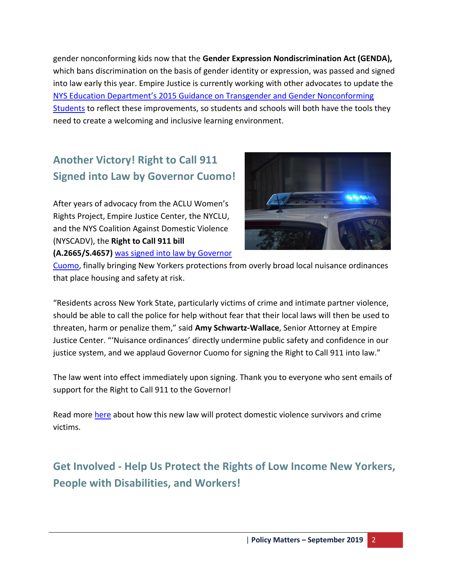gender nonconforming kids now that the **Gender Expression Nondiscrimination Act (GENDA),** which bans discrimination on the basis of gender identity or expression, was passed and signed into law early this year. Empire Justice is currently working with other advocates to update the [NYS Education Department's 2015 Guidance on Transgender and Gender Nonconforming](http://www.p12.nysed.gov/dignityact/documents/Transg_GNCGuidanceFINAL.pdf)  [Students](http://www.p12.nysed.gov/dignityact/documents/Transg_GNCGuidanceFINAL.pdf) to reflect these improvements, so students and schools will both have the tools they need to create a welcoming and inclusive learning environment.

# **Another Victory! Right to Call 911 Signed into Law by Governor Cuomo!**

After years of advocacy from the ACLU Women's Rights Project, Empire Justice Center, the NYCLU, and the NYS Coalition Against Domestic Violence (NYSCADV), the **Right to Call 911 bill (A.2665/S.4657)** [was signed into law](https://www.recordonline.com/news/20190917/heather-yakin-good-law-takes-more-than-good-intentions) by Governor



[Cuomo,](https://www.recordonline.com/news/20190917/heather-yakin-good-law-takes-more-than-good-intentions) finally bringing New Yorkers protections from overly broad local nuisance ordinances that place housing and safety at risk.

"Residents across New York State, particularly victims of crime and intimate partner violence, should be able to call the police for help without fear that their local laws will then be used to threaten, harm or penalize them," said **Amy Schwartz-Wallace**, Senior Attorney at Empire Justice Center. "'Nuisance ordinances' directly undermine public safety and confidence in our justice system, and we applaud Governor Cuomo for signing the Right to Call 911 into law."

The law went into effect immediately upon signing. Thank you to everyone who sent emails of support for the Right to Call 911 to the Governor!

Read more [here](https://empirejustice.org/news/press-release-governor-cuomo-signs-legislation-protecting-domestic-violence-survivors-others-need-emergency-assistance/) about how this new law will protect domestic violence survivors and crime victims.

**Get Involved - Help Us Protect the Rights of Low Income New Yorkers, People with Disabilities, and Workers!**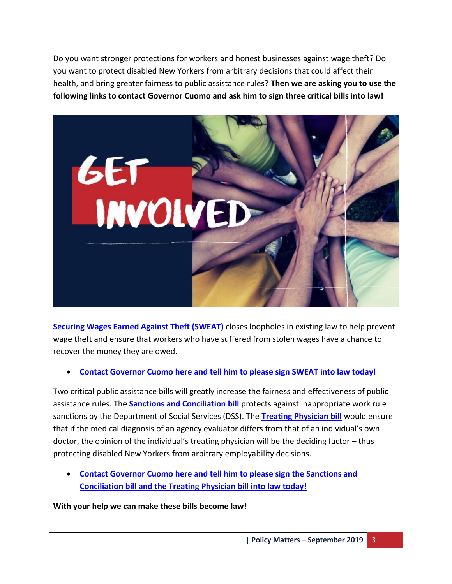Do you want stronger protections for workers and honest businesses against wage theft? Do you want to protect disabled New Yorkers from arbitrary decisions that could affect their health, and bring greater fairness to public assistance rules? **Then we are asking you to use the following links to contact Governor Cuomo and ask him to sign three critical bills into law!**



**[Securing Wages Earned Against Theft \(SWEAT\)](https://empirejustice.org/resources_post/give-workers-necessary-tools-fight-wage-theft-collect-stolen-wages/)** closes loopholes in existing law to help prevent wage theft and ensure that workers who have suffered from stolen wages have a chance to recover the money they are owed.

#### **[Contact Governor Cuomo here and tell him to please sign SWEAT into law today!](http://support.empirejustice.org/site/Advocacy?pagename=homepage&id=245)**

Two critical public assistance bills will greatly increase the fairness and effectiveness of public assistance rules. The **[Sanctions and Conciliation bill](https://empirejustice.org/resources_post/empire-justice-memo-support-fair-process-reducing-erroneous-welfare-sanctions-apply-statewide/)** protects against inappropriate work rule sanctions by the Department of Social Services (DSS). The **[Treating Physician bill](https://empirejustice.org/resources_post/just-accurate-means-determine-public-assistance-employability/)** would ensure that if the medical diagnosis of an agency evaluator differs from that of an individual's own doctor, the opinion of the individual's treating physician will be the deciding factor – thus protecting disabled New Yorkers from arbitrary employability decisions.

 **[Contact Governor Cuomo here and tell him to please sign the Sanctions and](http://support.empirejustice.org/site/Advocacy?pagename=homepage&id=246)  [Conciliation bill and the Treating Physician bill into law today!](http://support.empirejustice.org/site/Advocacy?pagename=homepage&id=246)**

**With your help we can make these bills become law**!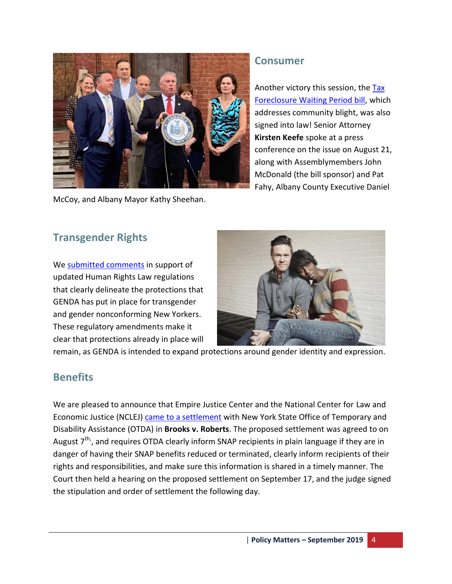

McCoy, and Albany Mayor Kathy Sheehan.

### **Consumer**

Another victory this session, the Tax [Foreclosure Waiting Period bill,](https://empirejustice.org/resources_post/empire-justice-memo-support-reduce-waiting-period-tax-districts-foreclose-vacant-abandoned-properties/) which addresses community blight, was also signed into law! Senior Attorney **Kirsten Keefe** spoke at a press conference on the issue on August 21, along with Assemblymembers John McDonald (the bill sponsor) and Pat Fahy, Albany County Executive Daniel

### **Transgender Rights**

We [submitted comments](https://empirejustice.org/resources_post/comment-regulations-protecting-transgender-new-yorkers-discrimination-genda/) in support of updated Human Rights Law regulations that clearly delineate the protections that GENDA has put in place for transgender and gender nonconforming New Yorkers. These regulatory amendments make it clear that protections already in place will



remain, as GENDA is intended to expand protections around gender identity and expression.

### **Benefits**

We are pleased to announce that Empire Justice Center and the National Center for Law and Economic Justice (NCLEJ) [came to a settlement](https://empirejustice.org/notice-proposed-class-action-settlement-brooks-v-roberts/) with New York State Office of Temporary and Disability Assistance (OTDA) in **Brooks v. Roberts**. The proposed settlement was agreed to on August 7<sup>th</sup>, and requires OTDA clearly inform SNAP recipients in plain language if they are in danger of having their SNAP benefits reduced or terminated, clearly inform recipients of their rights and responsibilities, and make sure this information is shared in a timely manner. The Court then held a hearing on the proposed settlement on September 17, and the judge signed the stipulation and order of settlement the following day.